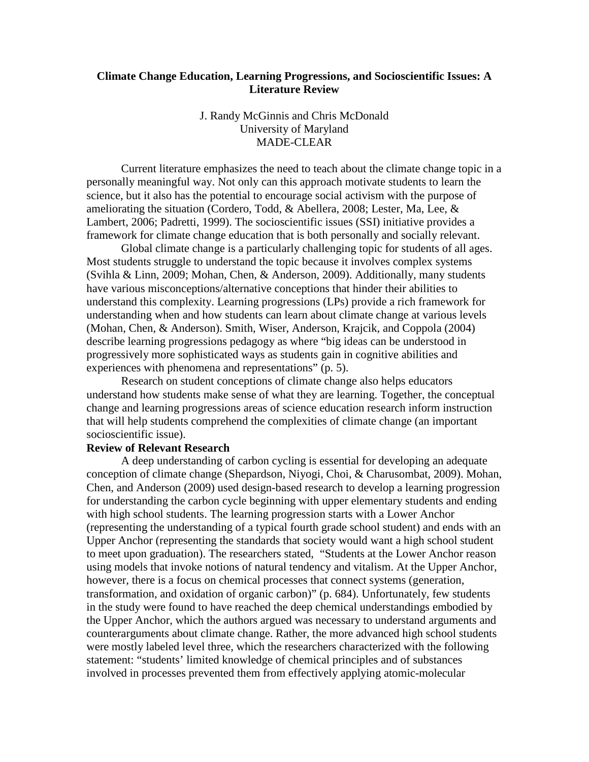# **Climate Change Education, Learning Progressions, and Socioscientific Issues: A Literature Review**

# J. Randy McGinnis and Chris McDonald University of Maryland MADE-CLEAR

Current literature emphasizes the need to teach about the climate change topic in a personally meaningful way. Not only can this approach motivate students to learn the science, but it also has the potential to encourage social activism with the purpose of ameliorating the situation (Cordero, Todd, & Abellera, 2008; Lester, Ma, Lee, & Lambert, 2006; Padretti, 1999). The socioscientific issues (SSI) initiative provides a framework for climate change education that is both personally and socially relevant.

Global climate change is a particularly challenging topic for students of all ages. Most students struggle to understand the topic because it involves complex systems (Svihla & Linn, 2009; Mohan, Chen, & Anderson, 2009). Additionally, many students have various misconceptions/alternative conceptions that hinder their abilities to understand this complexity. Learning progressions (LPs) provide a rich framework for understanding when and how students can learn about climate change at various levels (Mohan, Chen, & Anderson). Smith, Wiser, Anderson, Krajcik, and Coppola (2004) describe learning progressions pedagogy as where "big ideas can be understood in progressively more sophisticated ways as students gain in cognitive abilities and experiences with phenomena and representations" (p. 5).

Research on student conceptions of climate change also helps educators understand how students make sense of what they are learning. Together, the conceptual change and learning progressions areas of science education research inform instruction that will help students comprehend the complexities of climate change (an important socioscientific issue).

### **Review of Relevant Research**

A deep understanding of carbon cycling is essential for developing an adequate conception of climate change (Shepardson, Niyogi, Choi, & Charusombat, 2009). Mohan, Chen, and Anderson (2009) used design-based research to develop a learning progression for understanding the carbon cycle beginning with upper elementary students and ending with high school students. The learning progression starts with a Lower Anchor (representing the understanding of a typical fourth grade school student) and ends with an Upper Anchor (representing the standards that society would want a high school student to meet upon graduation). The researchers stated, "Students at the Lower Anchor reason using models that invoke notions of natural tendency and vitalism. At the Upper Anchor, however, there is a focus on chemical processes that connect systems (generation, transformation, and oxidation of organic carbon)" (p. 684). Unfortunately, few students in the study were found to have reached the deep chemical understandings embodied by the Upper Anchor, which the authors argued was necessary to understand arguments and counterarguments about climate change. Rather, the more advanced high school students were mostly labeled level three, which the researchers characterized with the following statement: "students' limited knowledge of chemical principles and of substances involved in processes prevented them from effectively applying atomic-molecular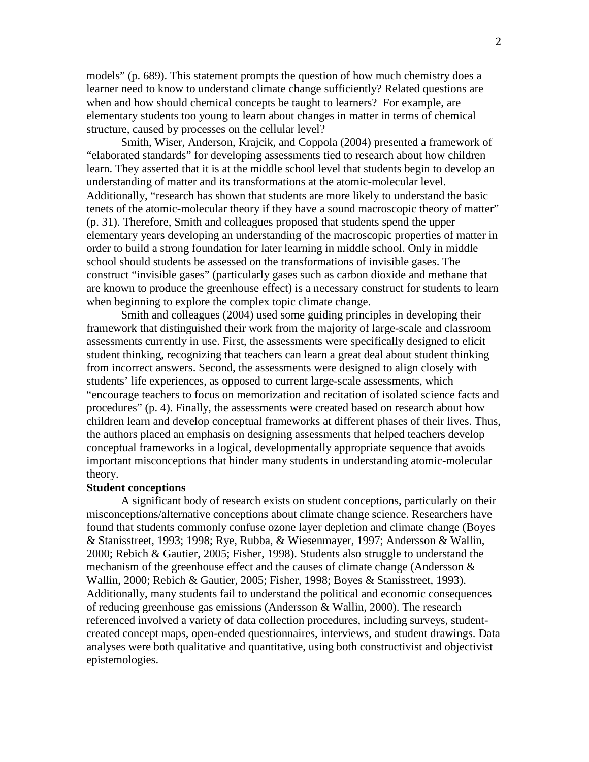models" (p. 689). This statement prompts the question of how much chemistry does a learner need to know to understand climate change sufficiently? Related questions are when and how should chemical concepts be taught to learners? For example, are elementary students too young to learn about changes in matter in terms of chemical structure, caused by processes on the cellular level?

Smith, Wiser, Anderson, Krajcik, and Coppola (2004) presented a framework of "elaborated standards" for developing assessments tied to research about how children learn. They asserted that it is at the middle school level that students begin to develop an understanding of matter and its transformations at the atomic-molecular level. Additionally, "research has shown that students are more likely to understand the basic tenets of the atomic-molecular theory if they have a sound macroscopic theory of matter" (p. 31). Therefore, Smith and colleagues proposed that students spend the upper elementary years developing an understanding of the macroscopic properties of matter in order to build a strong foundation for later learning in middle school. Only in middle school should students be assessed on the transformations of invisible gases. The construct "invisible gases" (particularly gases such as carbon dioxide and methane that are known to produce the greenhouse effect) is a necessary construct for students to learn when beginning to explore the complex topic climate change.

Smith and colleagues (2004) used some guiding principles in developing their framework that distinguished their work from the majority of large-scale and classroom assessments currently in use. First, the assessments were specifically designed to elicit student thinking, recognizing that teachers can learn a great deal about student thinking from incorrect answers. Second, the assessments were designed to align closely with students' life experiences, as opposed to current large-scale assessments, which "encourage teachers to focus on memorization and recitation of isolated science facts and procedures" (p. 4). Finally, the assessments were created based on research about how children learn and develop conceptual frameworks at different phases of their lives. Thus, the authors placed an emphasis on designing assessments that helped teachers develop conceptual frameworks in a logical, developmentally appropriate sequence that avoids important misconceptions that hinder many students in understanding atomic-molecular theory.

#### **Student conceptions**

A significant body of research exists on student conceptions, particularly on their misconceptions/alternative conceptions about climate change science. Researchers have found that students commonly confuse ozone layer depletion and climate change (Boyes & Stanisstreet, 1993; 1998; Rye, Rubba, & Wiesenmayer, 1997; Andersson & Wallin, 2000; Rebich & Gautier, 2005; Fisher, 1998). Students also struggle to understand the mechanism of the greenhouse effect and the causes of climate change (Andersson  $\&$ Wallin, 2000; Rebich & Gautier, 2005; Fisher, 1998; Boyes & Stanisstreet, 1993). Additionally, many students fail to understand the political and economic consequences of reducing greenhouse gas emissions (Andersson & Wallin, 2000). The research referenced involved a variety of data collection procedures, including surveys, studentcreated concept maps, open-ended questionnaires, interviews, and student drawings. Data analyses were both qualitative and quantitative, using both constructivist and objectivist epistemologies.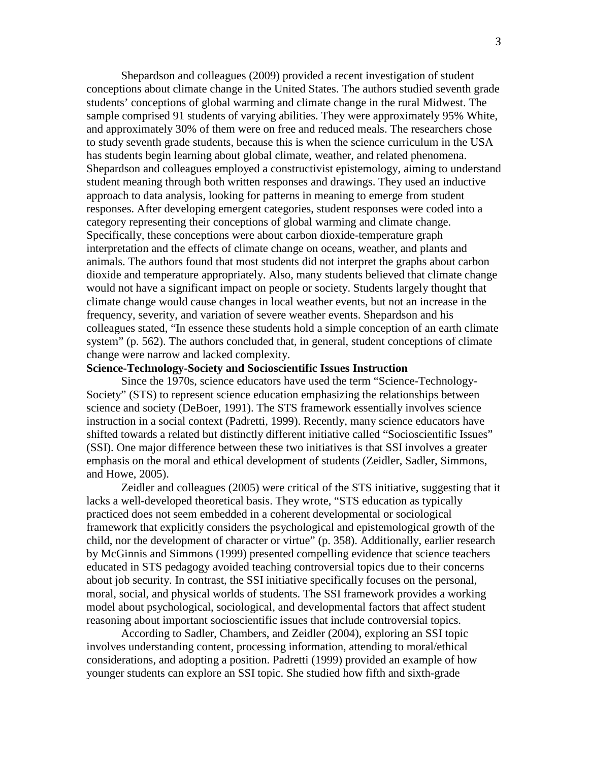Shepardson and colleagues (2009) provided a recent investigation of student conceptions about climate change in the United States. The authors studied seventh grade students' conceptions of global warming and climate change in the rural Midwest. The sample comprised 91 students of varying abilities. They were approximately 95% White, and approximately 30% of them were on free and reduced meals. The researchers chose to study seventh grade students, because this is when the science curriculum in the USA has students begin learning about global climate, weather, and related phenomena. Shepardson and colleagues employed a constructivist epistemology, aiming to understand student meaning through both written responses and drawings. They used an inductive approach to data analysis, looking for patterns in meaning to emerge from student responses. After developing emergent categories, student responses were coded into a category representing their conceptions of global warming and climate change. Specifically, these conceptions were about carbon dioxide-temperature graph interpretation and the effects of climate change on oceans, weather, and plants and animals. The authors found that most students did not interpret the graphs about carbon dioxide and temperature appropriately. Also, many students believed that climate change would not have a significant impact on people or society. Students largely thought that climate change would cause changes in local weather events, but not an increase in the frequency, severity, and variation of severe weather events. Shepardson and his colleagues stated, "In essence these students hold a simple conception of an earth climate system" (p. 562). The authors concluded that, in general, student conceptions of climate change were narrow and lacked complexity.

# **Science-Technology-Society and Socioscientific Issues Instruction**

Since the 1970s, science educators have used the term "Science-Technology-Society" (STS) to represent science education emphasizing the relationships between science and society (DeBoer, 1991). The STS framework essentially involves science instruction in a social context (Padretti, 1999). Recently, many science educators have shifted towards a related but distinctly different initiative called "Socioscientific Issues" (SSI). One major difference between these two initiatives is that SSI involves a greater emphasis on the moral and ethical development of students (Zeidler, Sadler, Simmons, and Howe, 2005).

Zeidler and colleagues (2005) were critical of the STS initiative, suggesting that it lacks a well-developed theoretical basis. They wrote, "STS education as typically practiced does not seem embedded in a coherent developmental or sociological framework that explicitly considers the psychological and epistemological growth of the child, nor the development of character or virtue" (p. 358). Additionally, earlier research by McGinnis and Simmons (1999) presented compelling evidence that science teachers educated in STS pedagogy avoided teaching controversial topics due to their concerns about job security. In contrast, the SSI initiative specifically focuses on the personal, moral, social, and physical worlds of students. The SSI framework provides a working model about psychological, sociological, and developmental factors that affect student reasoning about important socioscientific issues that include controversial topics.

According to Sadler, Chambers, and Zeidler (2004), exploring an SSI topic involves understanding content, processing information, attending to moral/ethical considerations, and adopting a position. Padretti (1999) provided an example of how younger students can explore an SSI topic. She studied how fifth and sixth-grade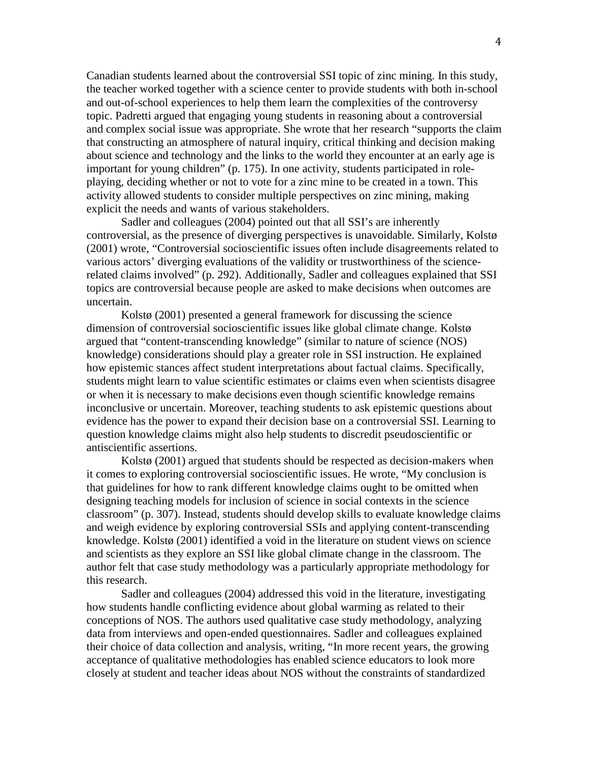Canadian students learned about the controversial SSI topic of zinc mining. In this study, the teacher worked together with a science center to provide students with both in-school and out-of-school experiences to help them learn the complexities of the controversy topic. Padretti argued that engaging young students in reasoning about a controversial and complex social issue was appropriate. She wrote that her research "supports the claim that constructing an atmosphere of natural inquiry, critical thinking and decision making about science and technology and the links to the world they encounter at an early age is important for young children" (p. 175). In one activity, students participated in roleplaying, deciding whether or not to vote for a zinc mine to be created in a town. This activity allowed students to consider multiple perspectives on zinc mining, making explicit the needs and wants of various stakeholders.

Sadler and colleagues (2004) pointed out that all SSI's are inherently controversial, as the presence of diverging perspectives is unavoidable. Similarly, Kolstø (2001) wrote, "Controversial socioscientific issues often include disagreements related to various actors' diverging evaluations of the validity or trustworthiness of the sciencerelated claims involved" (p. 292). Additionally, Sadler and colleagues explained that SSI topics are controversial because people are asked to make decisions when outcomes are uncertain.

Kolstø (2001) presented a general framework for discussing the science dimension of controversial socioscientific issues like global climate change. Kolstø argued that "content-transcending knowledge" (similar to nature of science (NOS) knowledge) considerations should play a greater role in SSI instruction. He explained how epistemic stances affect student interpretations about factual claims. Specifically, students might learn to value scientific estimates or claims even when scientists disagree or when it is necessary to make decisions even though scientific knowledge remains inconclusive or uncertain. Moreover, teaching students to ask epistemic questions about evidence has the power to expand their decision base on a controversial SSI. Learning to question knowledge claims might also help students to discredit pseudoscientific or antiscientific assertions.

Kolstø (2001) argued that students should be respected as decision-makers when it comes to exploring controversial socioscientific issues. He wrote, "My conclusion is that guidelines for how to rank different knowledge claims ought to be omitted when designing teaching models for inclusion of science in social contexts in the science classroom" (p. 307). Instead, students should develop skills to evaluate knowledge claims and weigh evidence by exploring controversial SSIs and applying content-transcending knowledge. Kolstø (2001) identified a void in the literature on student views on science and scientists as they explore an SSI like global climate change in the classroom. The author felt that case study methodology was a particularly appropriate methodology for this research.

Sadler and colleagues (2004) addressed this void in the literature, investigating how students handle conflicting evidence about global warming as related to their conceptions of NOS. The authors used qualitative case study methodology, analyzing data from interviews and open-ended questionnaires. Sadler and colleagues explained their choice of data collection and analysis, writing, "In more recent years, the growing acceptance of qualitative methodologies has enabled science educators to look more closely at student and teacher ideas about NOS without the constraints of standardized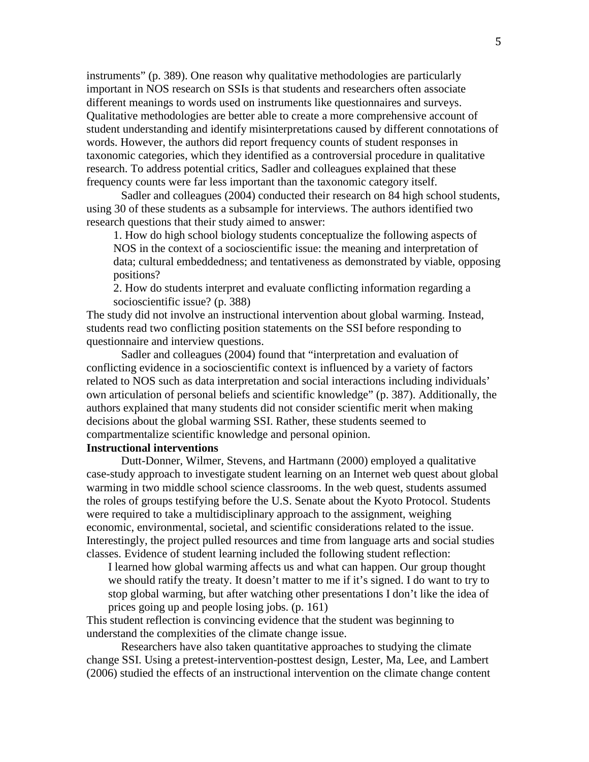instruments" (p. 389). One reason why qualitative methodologies are particularly important in NOS research on SSIs is that students and researchers often associate different meanings to words used on instruments like questionnaires and surveys. Qualitative methodologies are better able to create a more comprehensive account of student understanding and identify misinterpretations caused by different connotations of words. However, the authors did report frequency counts of student responses in taxonomic categories, which they identified as a controversial procedure in qualitative research. To address potential critics, Sadler and colleagues explained that these frequency counts were far less important than the taxonomic category itself.

Sadler and colleagues (2004) conducted their research on 84 high school students, using 30 of these students as a subsample for interviews. The authors identified two research questions that their study aimed to answer:

1. How do high school biology students conceptualize the following aspects of NOS in the context of a socioscientific issue: the meaning and interpretation of data; cultural embeddedness; and tentativeness as demonstrated by viable, opposing positions?

2. How do students interpret and evaluate conflicting information regarding a socioscientific issue? (p. 388)

The study did not involve an instructional intervention about global warming. Instead, students read two conflicting position statements on the SSI before responding to questionnaire and interview questions.

Sadler and colleagues (2004) found that "interpretation and evaluation of conflicting evidence in a socioscientific context is influenced by a variety of factors related to NOS such as data interpretation and social interactions including individuals' own articulation of personal beliefs and scientific knowledge" (p. 387). Additionally, the authors explained that many students did not consider scientific merit when making decisions about the global warming SSI. Rather, these students seemed to compartmentalize scientific knowledge and personal opinion.

### **Instructional interventions**

Dutt-Donner, Wilmer, Stevens, and Hartmann (2000) employed a qualitative case-study approach to investigate student learning on an Internet web quest about global warming in two middle school science classrooms. In the web quest, students assumed the roles of groups testifying before the U.S. Senate about the Kyoto Protocol. Students were required to take a multidisciplinary approach to the assignment, weighing economic, environmental, societal, and scientific considerations related to the issue. Interestingly, the project pulled resources and time from language arts and social studies classes. Evidence of student learning included the following student reflection:

I learned how global warming affects us and what can happen. Our group thought we should ratify the treaty. It doesn't matter to me if it's signed. I do want to try to stop global warming, but after watching other presentations I don't like the idea of prices going up and people losing jobs. (p. 161)

This student reflection is convincing evidence that the student was beginning to understand the complexities of the climate change issue.

Researchers have also taken quantitative approaches to studying the climate change SSI. Using a pretest-intervention-posttest design, Lester, Ma, Lee, and Lambert (2006) studied the effects of an instructional intervention on the climate change content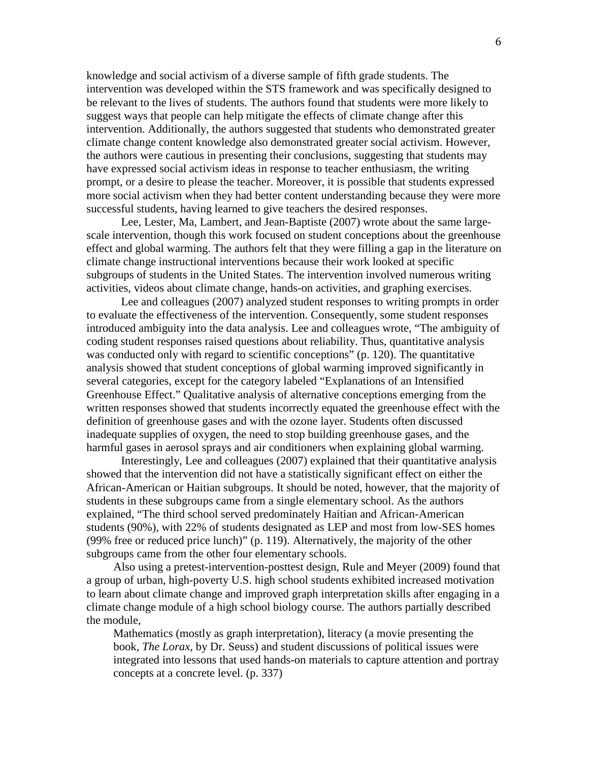knowledge and social activism of a diverse sample of fifth grade students. The intervention was developed within the STS framework and was specifically designed to be relevant to the lives of students. The authors found that students were more likely to suggest ways that people can help mitigate the effects of climate change after this intervention. Additionally, the authors suggested that students who demonstrated greater climate change content knowledge also demonstrated greater social activism. However, the authors were cautious in presenting their conclusions, suggesting that students may have expressed social activism ideas in response to teacher enthusiasm, the writing prompt, or a desire to please the teacher. Moreover, it is possible that students expressed more social activism when they had better content understanding because they were more successful students, having learned to give teachers the desired responses.

Lee, Lester, Ma, Lambert, and Jean-Baptiste (2007) wrote about the same largescale intervention, though this work focused on student conceptions about the greenhouse effect and global warming. The authors felt that they were filling a gap in the literature on climate change instructional interventions because their work looked at specific subgroups of students in the United States. The intervention involved numerous writing activities, videos about climate change, hands-on activities, and graphing exercises.

Lee and colleagues (2007) analyzed student responses to writing prompts in order to evaluate the effectiveness of the intervention. Consequently, some student responses introduced ambiguity into the data analysis. Lee and colleagues wrote, "The ambiguity of coding student responses raised questions about reliability. Thus, quantitative analysis was conducted only with regard to scientific conceptions" (p. 120). The quantitative analysis showed that student conceptions of global warming improved significantly in several categories, except for the category labeled "Explanations of an Intensified Greenhouse Effect." Qualitative analysis of alternative conceptions emerging from the written responses showed that students incorrectly equated the greenhouse effect with the definition of greenhouse gases and with the ozone layer. Students often discussed inadequate supplies of oxygen, the need to stop building greenhouse gases, and the harmful gases in aerosol sprays and air conditioners when explaining global warming.

Interestingly, Lee and colleagues (2007) explained that their quantitative analysis showed that the intervention did not have a statistically significant effect on either the African-American or Haitian subgroups. It should be noted, however, that the majority of students in these subgroups came from a single elementary school. As the authors explained, "The third school served predominately Haitian and African-American students (90%), with 22% of students designated as LEP and most from low-SES homes (99% free or reduced price lunch)" (p. 119). Alternatively, the majority of the other subgroups came from the other four elementary schools.

Also using a pretest-intervention-posttest design, Rule and Meyer (2009) found that a group of urban, high-poverty U.S. high school students exhibited increased motivation to learn about climate change and improved graph interpretation skills after engaging in a climate change module of a high school biology course. The authors partially described the module,

Mathematics (mostly as graph interpretation), literacy (a movie presenting the book, *The Lorax*, by Dr. Seuss) and student discussions of political issues were integrated into lessons that used hands-on materials to capture attention and portray concepts at a concrete level. (p. 337)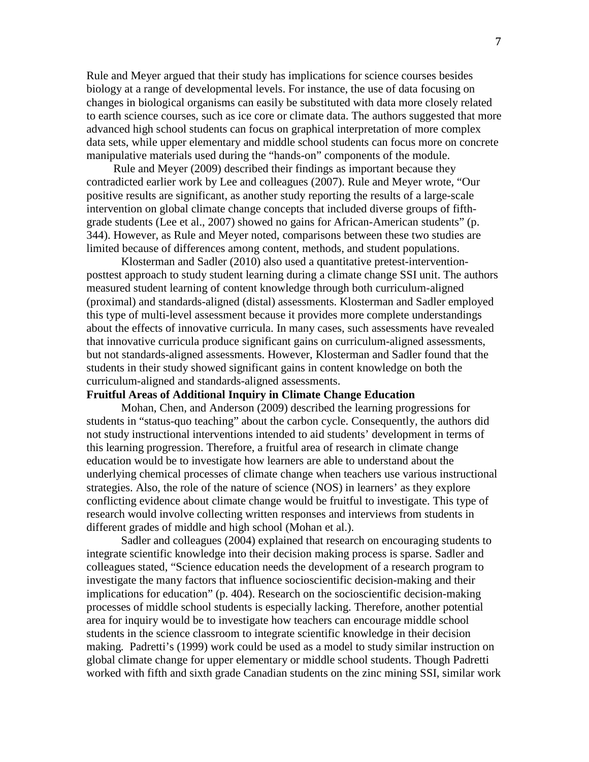Rule and Meyer argued that their study has implications for science courses besides biology at a range of developmental levels. For instance, the use of data focusing on changes in biological organisms can easily be substituted with data more closely related to earth science courses, such as ice core or climate data. The authors suggested that more advanced high school students can focus on graphical interpretation of more complex data sets, while upper elementary and middle school students can focus more on concrete manipulative materials used during the "hands-on" components of the module.

Rule and Meyer (2009) described their findings as important because they contradicted earlier work by Lee and colleagues (2007). Rule and Meyer wrote, "Our positive results are significant, as another study reporting the results of a large-scale intervention on global climate change concepts that included diverse groups of fifthgrade students (Lee et al., 2007) showed no gains for African-American students" (p. 344). However, as Rule and Meyer noted, comparisons between these two studies are limited because of differences among content, methods, and student populations.

Klosterman and Sadler (2010) also used a quantitative pretest-interventionposttest approach to study student learning during a climate change SSI unit. The authors measured student learning of content knowledge through both curriculum-aligned (proximal) and standards-aligned (distal) assessments. Klosterman and Sadler employed this type of multi-level assessment because it provides more complete understandings about the effects of innovative curricula. In many cases, such assessments have revealed that innovative curricula produce significant gains on curriculum-aligned assessments, but not standards-aligned assessments. However, Klosterman and Sadler found that the students in their study showed significant gains in content knowledge on both the curriculum-aligned and standards-aligned assessments.

## **Fruitful Areas of Additional Inquiry in Climate Change Education**

Mohan, Chen, and Anderson (2009) described the learning progressions for students in "status-quo teaching" about the carbon cycle. Consequently, the authors did not study instructional interventions intended to aid students' development in terms of this learning progression. Therefore, a fruitful area of research in climate change education would be to investigate how learners are able to understand about the underlying chemical processes of climate change when teachers use various instructional strategies. Also, the role of the nature of science (NOS) in learners' as they explore conflicting evidence about climate change would be fruitful to investigate. This type of research would involve collecting written responses and interviews from students in different grades of middle and high school (Mohan et al.).

Sadler and colleagues (2004) explained that research on encouraging students to integrate scientific knowledge into their decision making process is sparse. Sadler and colleagues stated, "Science education needs the development of a research program to investigate the many factors that influence socioscientific decision-making and their implications for education" (p. 404). Research on the socioscientific decision-making processes of middle school students is especially lacking. Therefore, another potential area for inquiry would be to investigate how teachers can encourage middle school students in the science classroom to integrate scientific knowledge in their decision making*.* Padretti's (1999) work could be used as a model to study similar instruction on global climate change for upper elementary or middle school students. Though Padretti worked with fifth and sixth grade Canadian students on the zinc mining SSI, similar work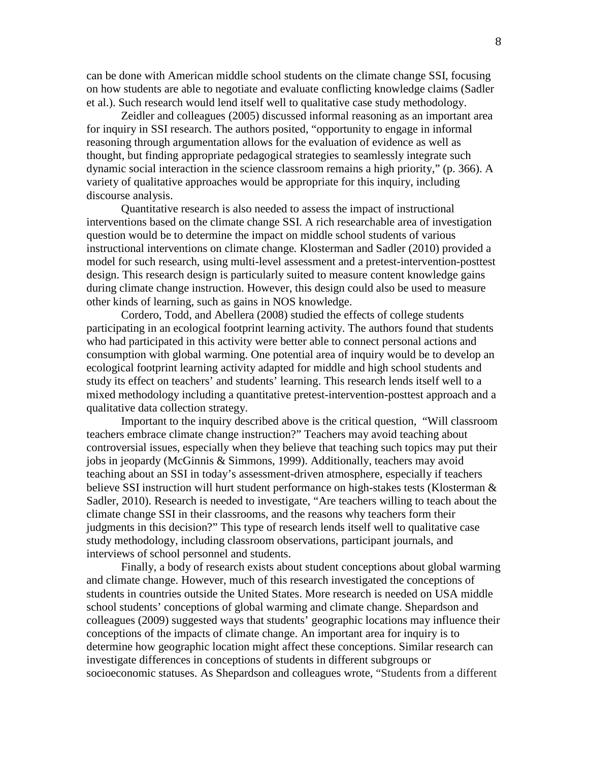can be done with American middle school students on the climate change SSI, focusing on how students are able to negotiate and evaluate conflicting knowledge claims (Sadler et al.). Such research would lend itself well to qualitative case study methodology.

Zeidler and colleagues (2005) discussed informal reasoning as an important area for inquiry in SSI research. The authors posited, "opportunity to engage in informal reasoning through argumentation allows for the evaluation of evidence as well as thought, but finding appropriate pedagogical strategies to seamlessly integrate such dynamic social interaction in the science classroom remains a high priority," (p. 366). A variety of qualitative approaches would be appropriate for this inquiry, including discourse analysis.

Quantitative research is also needed to assess the impact of instructional interventions based on the climate change SSI. A rich researchable area of investigation question would be to determine the impact on middle school students of various instructional interventions on climate change*.* Klosterman and Sadler (2010) provided a model for such research, using multi-level assessment and a pretest-intervention-posttest design. This research design is particularly suited to measure content knowledge gains during climate change instruction. However, this design could also be used to measure other kinds of learning, such as gains in NOS knowledge.

Cordero, Todd, and Abellera (2008) studied the effects of college students participating in an ecological footprint learning activity. The authors found that students who had participated in this activity were better able to connect personal actions and consumption with global warming. One potential area of inquiry would be to develop an ecological footprint learning activity adapted for middle and high school students and study its effect on teachers' and students' learning. This research lends itself well to a mixed methodology including a quantitative pretest-intervention-posttest approach and a qualitative data collection strategy.

Important to the inquiry described above is the critical question, "Will classroom teachers embrace climate change instruction?" Teachers may avoid teaching about controversial issues, especially when they believe that teaching such topics may put their jobs in jeopardy (McGinnis & Simmons, 1999). Additionally, teachers may avoid teaching about an SSI in today's assessment-driven atmosphere, especially if teachers believe SSI instruction will hurt student performance on high-stakes tests (Klosterman & Sadler, 2010). Research is needed to investigate, "Are teachers willing to teach about the climate change SSI in their classrooms, and the reasons why teachers form their judgments in this decision?" This type of research lends itself well to qualitative case study methodology, including classroom observations, participant journals, and interviews of school personnel and students.

Finally, a body of research exists about student conceptions about global warming and climate change. However, much of this research investigated the conceptions of students in countries outside the United States. More research is needed on USA middle school students' conceptions of global warming and climate change. Shepardson and colleagues (2009) suggested ways that students' geographic locations may influence their conceptions of the impacts of climate change. An important area for inquiry is to determine how geographic location might affect these conceptions. Similar research can investigate differences in conceptions of students in different subgroups or socioeconomic statuses. As Shepardson and colleagues wrote, "Students from a different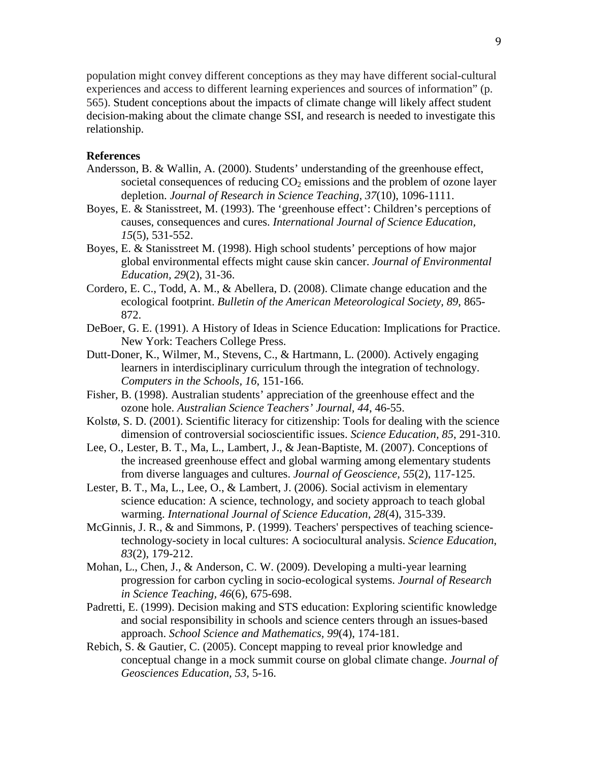population might convey different conceptions as they may have different social-cultural experiences and access to different learning experiences and sources of information" (p. 565). Student conceptions about the impacts of climate change will likely affect student decision-making about the climate change SSI, and research is needed to investigate this relationship.

# **References**

- Andersson, B. & Wallin, A. (2000). Students' understanding of the greenhouse effect, societal consequences of reducing  $CO<sub>2</sub>$  emissions and the problem of ozone layer depletion. *Journal of Research in Science Teaching, 37*(10), 1096-1111.
- Boyes, E. & Stanisstreet, M. (1993). The 'greenhouse effect': Children's perceptions of causes, consequences and cures. *International Journal of Science Education, 15*(5), 531-552.
- Boyes, E. & Stanisstreet M. (1998). High school students' perceptions of how major global environmental effects might cause skin cancer. *Journal of Environmental Education, 29*(2), 31-36.
- Cordero, E. C., Todd, A. M., & Abellera, D. (2008). Climate change education and the ecological footprint. *Bulletin of the American Meteorological Society, 89*, 865- 872.
- DeBoer, G. E. (1991). A History of Ideas in Science Education: Implications for Practice. New York: Teachers College Press.
- Dutt-Doner, K., Wilmer, M., Stevens, C., & Hartmann, L. (2000). Actively engaging learners in interdisciplinary curriculum through the integration of technology. *Computers in the Schools, 16*, 151-166.
- Fisher, B. (1998). Australian students' appreciation of the greenhouse effect and the ozone hole. *Australian Science Teachers' Journal, 44*, 46-55.
- Kolstø, S. D. (2001). Scientific literacy for citizenship: Tools for dealing with the science dimension of controversial socioscientific issues. *Science Education, 85*, 291-310.
- Lee, O., Lester, B. T., Ma, L., Lambert, J., & Jean-Baptiste, M. (2007). Conceptions of the increased greenhouse effect and global warming among elementary students from diverse languages and cultures. *Journal of Geoscience, 55*(2), 117-125.
- Lester, B. T., Ma, L., Lee, O., & Lambert, J. (2006). Social activism in elementary science education: A science, technology, and society approach to teach global warming. *International Journal of Science Education, 28*(4), 315-339.
- McGinnis, J. R., & and Simmons, P. (1999). Teachers' perspectives of teaching sciencetechnology-society in local cultures: A sociocultural analysis. *Science Education*, *83*(2), 179-212.
- Mohan, L., Chen, J., & Anderson, C. W. (2009). Developing a multi-year learning progression for carbon cycling in socio-ecological systems. *Journal of Research in Science Teaching, 46*(6), 675-698.
- Padretti, E. (1999). Decision making and STS education: Exploring scientific knowledge and social responsibility in schools and science centers through an issues-based approach. *School Science and Mathematics, 99*(4), 174-181.
- Rebich, S. & Gautier, C. (2005). Concept mapping to reveal prior knowledge and conceptual change in a mock summit course on global climate change. *Journal of Geosciences Education, 53*, 5-16.